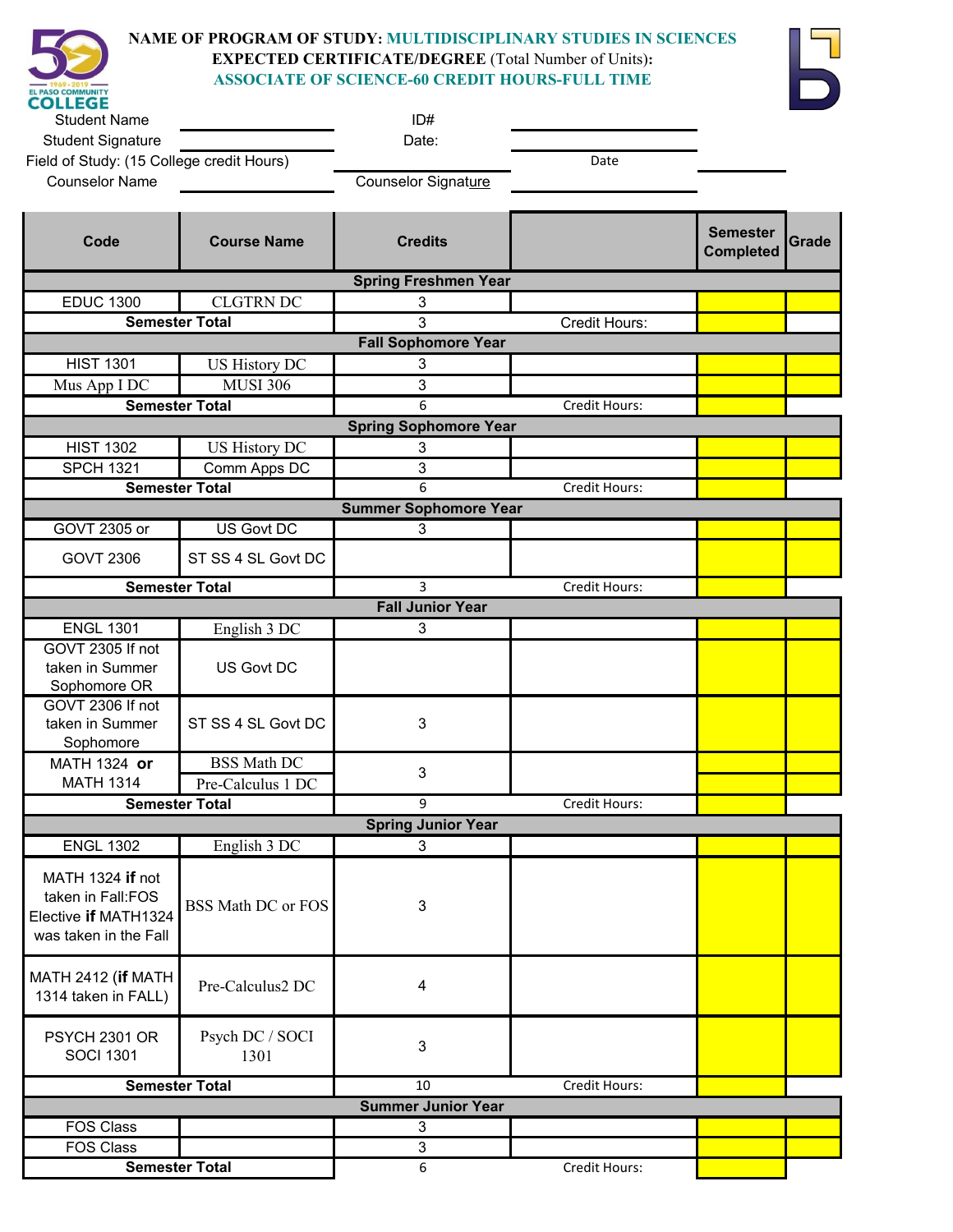

## **NAME OF PROGRAM OF STUDY: MULTIDISCIPLINARY STUDIES IN SCIENCES EXPECTED CERTIFICATE/DEGREE** (Total Number of Units)**: ASSOCIATE OF SCIENCE-60 CREDIT HOURS-FULL TIME**



| <b>Student Name</b>                                                                    |                                       | ID#                          |               |                                     |              |  |
|----------------------------------------------------------------------------------------|---------------------------------------|------------------------------|---------------|-------------------------------------|--------------|--|
| <b>Student Signature</b>                                                               |                                       | Date:                        |               |                                     |              |  |
| Field of Study: (15 College credit Hours)                                              |                                       |                              | Date          |                                     |              |  |
| <b>Counselor Name</b>                                                                  |                                       | Counselor Signature          |               |                                     |              |  |
| Code                                                                                   | <b>Course Name</b>                    | <b>Credits</b>               |               | <b>Semester</b><br><b>Completed</b> | <b>Grade</b> |  |
|                                                                                        |                                       | <b>Spring Freshmen Year</b>  |               |                                     |              |  |
| <b>EDUC 1300</b>                                                                       | <b>CLGTRN DC</b>                      | 3                            |               |                                     |              |  |
| <b>Semester Total</b>                                                                  |                                       | 3                            | Credit Hours: |                                     |              |  |
|                                                                                        |                                       | <b>Fall Sophomore Year</b>   |               |                                     |              |  |
| <b>HIST 1301</b>                                                                       | US History DC                         | 3                            |               |                                     |              |  |
| Mus App I DC                                                                           | <b>MUSI 306</b>                       | 3                            |               |                                     |              |  |
| <b>Semester Total</b>                                                                  |                                       | 6                            | Credit Hours: |                                     |              |  |
| <b>HIST 1302</b>                                                                       |                                       | <b>Spring Sophomore Year</b> |               |                                     |              |  |
|                                                                                        | US History DC                         | 3                            |               |                                     |              |  |
| <b>SPCH 1321</b>                                                                       | Comm Apps DC<br><b>Semester Total</b> | 3<br>6                       | Credit Hours: |                                     |              |  |
|                                                                                        |                                       | <b>Summer Sophomore Year</b> |               |                                     |              |  |
| GOVT 2305 or                                                                           | US Govt DC                            | 3                            |               |                                     |              |  |
|                                                                                        |                                       |                              |               |                                     |              |  |
| <b>GOVT 2306</b>                                                                       | ST SS 4 SL Govt DC                    |                              |               |                                     |              |  |
|                                                                                        | <b>Semester Total</b>                 | 3                            | Credit Hours: |                                     |              |  |
|                                                                                        |                                       | <b>Fall Junior Year</b>      |               |                                     |              |  |
| <b>ENGL 1301</b>                                                                       | English 3 DC                          | 3                            |               |                                     |              |  |
| GOVT 2305 If not<br>taken in Summer<br>Sophomore OR                                    | <b>US Govt DC</b>                     |                              |               |                                     |              |  |
| GOVT 2306 If not<br>taken in Summer<br>Sophomore                                       | ST SS 4 SL Govt DC                    | 3                            |               |                                     |              |  |
| MATH 1324 or                                                                           | <b>BSS Math DC</b>                    | 3                            |               |                                     |              |  |
| <b>MATH 1314</b>                                                                       | Pre-Calculus 1 DC                     |                              |               |                                     |              |  |
|                                                                                        | <b>Semester Total</b>                 | 9                            | Credit Hours: |                                     |              |  |
| <b>Spring Junior Year</b>                                                              |                                       |                              |               |                                     |              |  |
| <b>ENGL 1302</b>                                                                       | English 3 DC                          | 3                            |               |                                     |              |  |
| MATH 1324 if not<br>taken in Fall:FOS<br>Elective if MATH1324<br>was taken in the Fall | <b>BSS Math DC or FOS</b>             | 3                            |               |                                     |              |  |
| MATH 2412 (if MATH<br>1314 taken in FALL)                                              | Pre-Calculus2 DC                      | 4                            |               |                                     |              |  |
| <b>PSYCH 2301 OR</b><br><b>SOCI 1301</b>                                               | Psych DC / SOCI<br>1301               | 3                            |               |                                     |              |  |
|                                                                                        | <b>Semester Total</b>                 | 10                           | Credit Hours: |                                     |              |  |
|                                                                                        |                                       | <b>Summer Junior Year</b>    |               |                                     |              |  |
| <b>FOS Class</b>                                                                       |                                       | 3                            |               |                                     |              |  |
| <b>FOS Class</b>                                                                       |                                       | 3                            |               |                                     |              |  |
| <b>Semester Total</b>                                                                  |                                       | 6                            | Credit Hours: |                                     |              |  |